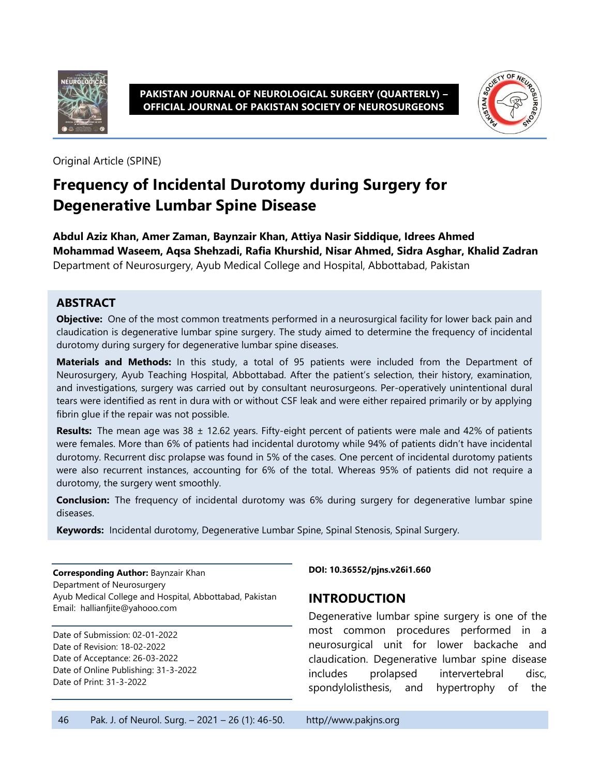

**PAKISTAN JOURNAL OF NEUROLOGICAL SURGERY (QUARTERLY) – OFFICIAL JOURNAL OF PAKISTAN SOCIETY OF NEUROSURGEONS**



Original Article (SPINE)

# **Frequency of Incidental Durotomy during Surgery for Degenerative Lumbar Spine Disease**

**Abdul Aziz Khan, Amer Zaman, Baynzair Khan, Attiya Nasir Siddique, Idrees Ahmed Mohammad Waseem, Aqsa Shehzadi, Rafia Khurshid, Nisar Ahmed, Sidra Asghar, Khalid Zadran** Department of Neurosurgery, Ayub Medical College and Hospital, Abbottabad, Pakistan

#### **ABSTRACT**

**Objective:** One of the most common treatments performed in a neurosurgical facility for lower back pain and claudication is degenerative lumbar spine surgery. The study aimed to determine the frequency of incidental durotomy during surgery for degenerative lumbar spine diseases.

**Materials and Methods:** In this study, a total of 95 patients were included from the Department of Neurosurgery, Ayub Teaching Hospital, Abbottabad. After the patient's selection, their history, examination, and investigations, surgery was carried out by consultant neurosurgeons. Per-operatively unintentional dural tears were identified as rent in dura with or without CSF leak and were either repaired primarily or by applying fibrin glue if the repair was not possible.

**Results:** The mean age was 38 ± 12.62 years. Fifty-eight percent of patients were male and 42% of patients were females. More than 6% of patients had incidental durotomy while 94% of patients didn't have incidental durotomy. Recurrent disc prolapse was found in 5% of the cases. One percent of incidental durotomy patients were also recurrent instances, accounting for 6% of the total. Whereas 95% of patients did not require a durotomy, the surgery went smoothly.

**Conclusion:** The frequency of incidental durotomy was 6% during surgery for degenerative lumbar spine diseases.

**Keywords:** Incidental durotomy, Degenerative Lumbar Spine, Spinal Stenosis, Spinal Surgery.

**Corresponding Author:** Baynzair Khan Department of Neurosurgery Ayub Medical College and Hospital, Abbottabad, Pakistan Email: hallianfjite@yahooo.com

Date of Submission: 02-01-2022 Date of Revision: 18-02-2022 Date of Acceptance: 26-03-2022 Date of Online Publishing: 31-3-2022 Date of Print: 31-3-2022

**DOI: 10.36552/pjns.v26i1.660**

#### **INTRODUCTION**

Degenerative lumbar spine surgery is one of the most common procedures performed in a neurosurgical unit for lower backache and claudication. Degenerative lumbar spine disease includes prolapsed intervertebral disc, spondylolisthesis, and hypertrophy of the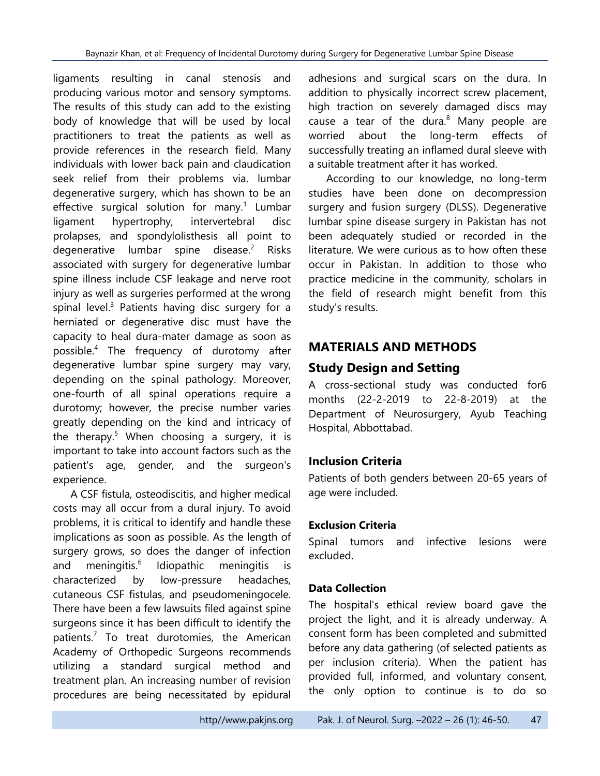ligaments resulting in canal stenosis and producing various motor and sensory symptoms. The results of this study can add to the existing body of knowledge that will be used by local practitioners to treat the patients as well as provide references in the research field. Many individuals with lower back pain and claudication seek relief from their problems via. lumbar degenerative surgery, which has shown to be an effective surgical solution for many.<sup>1</sup> Lumbar ligament hypertrophy, intervertebral disc prolapses, and spondylolisthesis all point to degenerative lumbar spine disease. $2$  Risks associated with surgery for degenerative lumbar spine illness include CSF leakage and nerve root injury as well as surgeries performed at the wrong spinal level. $3$  Patients having disc surgery for a herniated or degenerative disc must have the capacity to heal dura-mater damage as soon as possible.<sup>4</sup> The frequency of durotomy after degenerative lumbar spine surgery may vary, depending on the spinal pathology. Moreover, one-fourth of all spinal operations require a durotomy; however, the precise number varies greatly depending on the kind and intricacy of the therapy.<sup>5</sup> When choosing a surgery, it is important to take into account factors such as the patient's age, gender, and the surgeon's experience.

A CSF fistula, osteodiscitis, and higher medical costs may all occur from a dural injury. To avoid problems, it is critical to identify and handle these implications as soon as possible. As the length of surgery grows, so does the danger of infection and meningitis.<sup>6</sup> Idiopathic meningitis is characterized by low-pressure headaches, cutaneous CSF fistulas, and pseudomeningocele. There have been a few lawsuits filed against spine surgeons since it has been difficult to identify the patients. 7 To treat durotomies, the American Academy of Orthopedic Surgeons recommends utilizing a standard surgical method and treatment plan. An increasing number of revision procedures are being necessitated by epidural adhesions and surgical scars on the dura. In addition to physically incorrect screw placement, high traction on severely damaged discs may cause a tear of the dura. $8$  Many people are worried about the long-term effects of successfully treating an inflamed dural sleeve with a suitable treatment after it has worked.

According to our knowledge, no long-term studies have been done on decompression surgery and fusion surgery (DLSS). Degenerative lumbar spine disease surgery in Pakistan has not been adequately studied or recorded in the literature. We were curious as to how often these occur in Pakistan. In addition to those who practice medicine in the community, scholars in the field of research might benefit from this study's results.

# **MATERIALS AND METHODS**

# **Study Design and Setting**

A cross-sectional study was conducted for6 months (22-2-2019 to 22-8-2019) at the Department of Neurosurgery, Ayub Teaching Hospital, Abbottabad.

### **Inclusion Criteria**

Patients of both genders between 20-65 years of age were included.

### **Exclusion Criteria**

Spinal tumors and infective lesions were excluded.

#### **Data Collection**

The hospital's ethical review board gave the project the light, and it is already underway. A consent form has been completed and submitted before any data gathering (of selected patients as per inclusion criteria). When the patient has provided full, informed, and voluntary consent, the only option to continue is to do so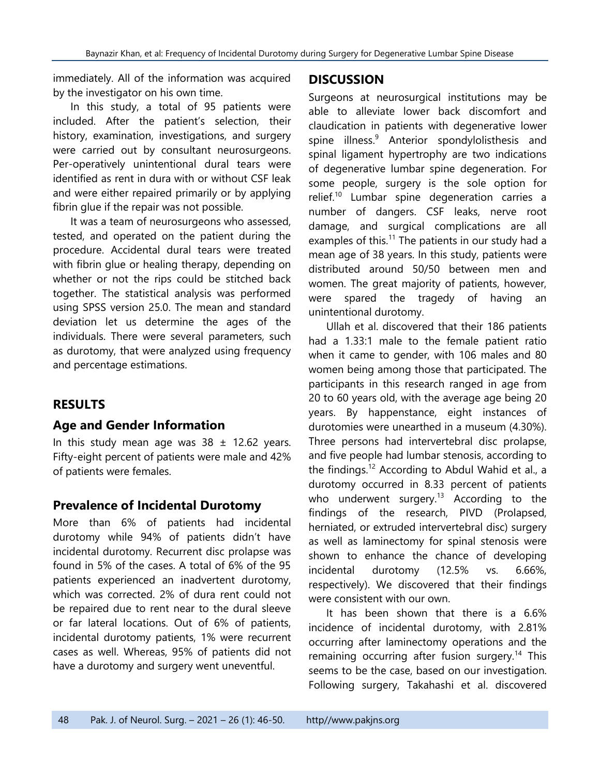immediately. All of the information was acquired by the investigator on his own time.

In this study, a total of 95 patients were included. After the patient's selection, their history, examination, investigations, and surgery were carried out by consultant neurosurgeons. Per-operatively unintentional dural tears were identified as rent in dura with or without CSF leak and were either repaired primarily or by applying fibrin glue if the repair was not possible.

It was a team of neurosurgeons who assessed, tested, and operated on the patient during the procedure. Accidental dural tears were treated with fibrin glue or healing therapy, depending on whether or not the rips could be stitched back together. The statistical analysis was performed using SPSS version 25.0. The mean and standard deviation let us determine the ages of the individuals. There were several parameters, such as durotomy, that were analyzed using frequency and percentage estimations.

### **RESULTS**

#### **Age and Gender Information**

In this study mean age was  $38 \pm 12.62$  years. Fifty-eight percent of patients were male and 42% of patients were females.

### **Prevalence of Incidental Durotomy**

More than 6% of patients had incidental durotomy while 94% of patients didn't have incidental durotomy. Recurrent disc prolapse was found in 5% of the cases. A total of 6% of the 95 patients experienced an inadvertent durotomy, which was corrected. 2% of dura rent could not be repaired due to rent near to the dural sleeve or far lateral locations. Out of 6% of patients, incidental durotomy patients, 1% were recurrent cases as well. Whereas, 95% of patients did not have a durotomy and surgery went uneventful.

#### **DISCUSSION**

Surgeons at neurosurgical institutions may be able to alleviate lower back discomfort and claudication in patients with degenerative lower spine illness.<sup>9</sup> Anterior spondylolisthesis and spinal ligament hypertrophy are two indications of degenerative lumbar spine degeneration. For some people, surgery is the sole option for relief.<sup>10</sup> Lumbar spine degeneration carries a number of dangers. CSF leaks, nerve root damage, and surgical complications are all examples of this.<sup>11</sup> The patients in our study had a mean age of 38 years. In this study, patients were distributed around 50/50 between men and women. The great majority of patients, however, were spared the tragedy of having an unintentional durotomy.

Ullah et al. discovered that their 186 patients had a 1.33:1 male to the female patient ratio when it came to gender, with 106 males and 80 women being among those that participated. The participants in this research ranged in age from 20 to 60 years old, with the average age being 20 years. By happenstance, eight instances of durotomies were unearthed in a museum (4.30%). Three persons had intervertebral disc prolapse, and five people had lumbar stenosis, according to the findings.<sup>12</sup> According to Abdul Wahid et al., a durotomy occurred in 8.33 percent of patients who underwent surgery. $13$  According to the findings of the research, PIVD (Prolapsed, herniated, or extruded intervertebral disc) surgery as well as laminectomy for spinal stenosis were shown to enhance the chance of developing incidental durotomy (12.5% vs. 6.66%, respectively). We discovered that their findings were consistent with our own.

It has been shown that there is a 6.6% incidence of incidental durotomy, with 2.81% occurring after laminectomy operations and the remaining occurring after fusion surgery.<sup>14</sup> This seems to be the case, based on our investigation. Following surgery, Takahashi et al. discovered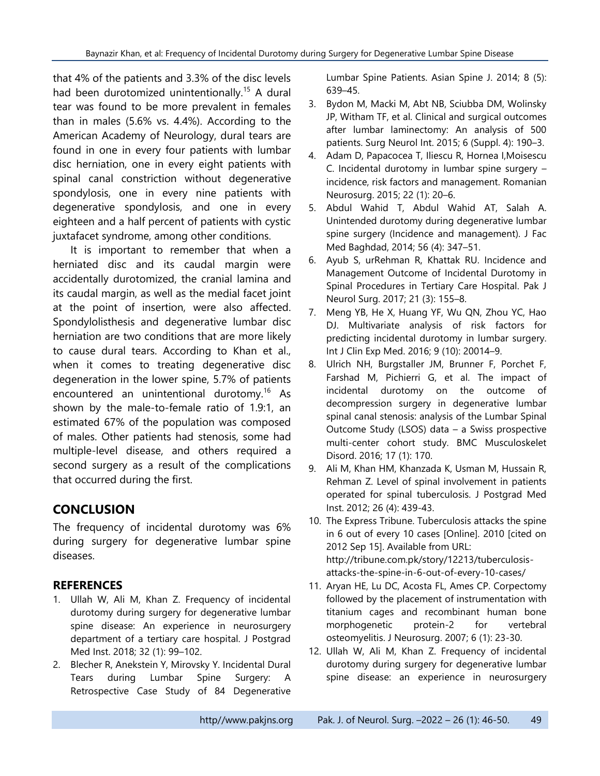that 4% of the patients and 3.3% of the disc levels had been durotomized unintentionally.<sup>15</sup> A dural tear was found to be more prevalent in females than in males (5.6% vs. 4.4%). According to the American Academy of Neurology, dural tears are found in one in every four patients with lumbar disc herniation, one in every eight patients with spinal canal constriction without degenerative spondylosis, one in every nine patients with degenerative spondylosis, and one in every eighteen and a half percent of patients with cystic juxtafacet syndrome, among other conditions.

It is important to remember that when a herniated disc and its caudal margin were accidentally durotomized, the cranial lamina and its caudal margin, as well as the medial facet joint at the point of insertion, were also affected. Spondylolisthesis and degenerative lumbar disc herniation are two conditions that are more likely to cause dural tears. According to Khan et al., when it comes to treating degenerative disc degeneration in the lower spine, 5.7% of patients encountered an unintentional durotomy.<sup>16</sup> As shown by the male-to-female ratio of 1.9:1, an estimated 67% of the population was composed of males. Other patients had stenosis, some had multiple-level disease, and others required a second surgery as a result of the complications that occurred during the first.

## **CONCLUSION**

The frequency of incidental durotomy was 6% during surgery for degenerative lumbar spine diseases.

### **REFERENCES**

- 1. Ullah W, Ali M, Khan Z. Frequency of incidental durotomy during surgery for degenerative lumbar spine disease: An experience in neurosurgery department of a tertiary care hospital. J Postgrad Med Inst. 2018; 32 (1): 99–102.
- 2. Blecher R, Anekstein Y, Mirovsky Y. Incidental Dural Tears during Lumbar Spine Surgery: A Retrospective Case Study of 84 Degenerative

Lumbar Spine Patients. Asian Spine J. 2014; 8 (5): 639–45.

- 3. Bydon M, Macki M, Abt NB, Sciubba DM, Wolinsky JP, Witham TF, et al. Clinical and surgical outcomes after lumbar laminectomy: An analysis of 500 patients. Surg Neurol Int. 2015; 6 (Suppl. 4): 190–3.
- 4. Adam D, Papacocea T, Iliescu R, Hornea I,Moisescu C. Incidental durotomy in lumbar spine surgery – incidence, risk factors and management. Romanian Neurosurg. 2015; 22 (1): 20–6.
- 5. Abdul Wahid T, Abdul Wahid AT, Salah A. Unintended durotomy during degenerative lumbar spine surgery (Incidence and management). J Fac Med Baghdad, 2014; 56 (4): 347–51.
- 6. Ayub S, urRehman R, Khattak RU. Incidence and Management Outcome of Incidental Durotomy in Spinal Procedures in Tertiary Care Hospital. Pak J Neurol Surg. 2017; 21 (3): 155–8.
- 7. Meng YB, He X, Huang YF, Wu QN, Zhou YC, Hao DJ. Multivariate analysis of risk factors for predicting incidental durotomy in lumbar surgery. Int J Clin Exp Med. 2016; 9 (10): 20014–9.
- 8. Ulrich NH, Burgstaller JM, Brunner F, Porchet F, Farshad M, Pichierri G, et al. The impact of incidental durotomy on the outcome of decompression surgery in degenerative lumbar spinal canal stenosis: analysis of the Lumbar Spinal Outcome Study (LSOS) data – a Swiss prospective multi-center cohort study. BMC Musculoskelet Disord. 2016; 17 (1): 170.
- 9. Ali M, Khan HM, Khanzada K, Usman M, Hussain R, Rehman Z. Level of spinal involvement in patients operated for spinal tuberculosis. J Postgrad Med Inst. 2012; 26 (4): 439-43.
- 10. The Express Tribune. Tuberculosis attacks the spine in 6 out of every 10 cases [Online]. 2010 [cited on 2012 Sep 15]. Available from URL: http://tribune.com.pk/story/12213/tuberculosisattacks-the-spine-in-6-out-of-every-10-cases/
- 11. Aryan HE, Lu DC, Acosta FL, Ames CP. Corpectomy followed by the placement of instrumentation with titanium cages and recombinant human bone morphogenetic protein-2 for vertebral osteomyelitis. J Neurosurg. 2007; 6 (1): 23-30.
- 12. Ullah W, Ali M, Khan Z. Frequency of incidental durotomy during surgery for degenerative lumbar spine disease: an experience in neurosurgery